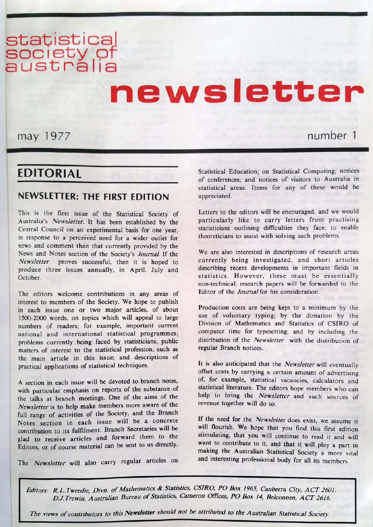# statistical<br>society of<br>australia

# newsletter

may 1977

## number 1

## **EDITORIAL**

## **NEWSLETTER: THE FIRST EDITION**

This is the first issue of the Statistical Society of Australia's Newsletter. It has been established by the Central Council on an experimental basis for one year. in response to a perceived need for a wider outlet for news and comment than that currently provided by the News and Notes section of the Society's Journal If the Newsletter proves successful, then it is hoped to produce three issues annually, in April, July and October.

The editors welcome contributions in any areas of interest to members of the Society. We hope to publish in each issue one or two major articles, of about 1500-2000 words, on topics which will appeal to large numbers of readers; for example, important current national and international statistical programmes; problems currently being faced by statisticians; public matters of interest to the statistical profession, such as the main article in this issue; and descriptions of practical applications of statistical techniques.

A section in each issue will be devoted to branch notes, with particular emphasis on reports of the substance of the talks at branch meetings. One of the aims of the Newsletter is to help make members more aware of the full range of activities of the Society, and the Branch Notes section in each issue will be a concrete contribution to its fulfilment. Branch Secretaries will be glad to receive articles and forward them to the Editors, or of course material can be sent to us directly.

The Newsletter will also carry regular articles on

Statistical Education; on Statistical Computing; notices of conferences; and notices of visitors to Australia in statistical areas. Items for any of these would be appreciated.

Letters to the editors will be encouraged, and we would particularly like to carry letters from practising statisticians outlining difficulties they face, to enable theoreticians to assist with solving such problems.

We are also interested in descriptions of research areas currently being investigated, and short articles describing recent developments in important fields in statistics. However, these must be essentially non-technical; research papers will be forwarded to the Editor of the Journal for his consideration.

Production costs are being kept to a minimum by the use of voluntary typing; by the donation by the Division of Mathematics and Statistics of CSIRO of computer time for typesetting; and by including the distribution of the Newsletter with the distribution of regular Branch notices.

It is also anticipated that the Newsletter will eventually offset costs by carrying a certain amount of advertising of, for example, statistical vacancies, calculators and statistical literature. The editors hope members who can help to bring the Newsletter and such sources of revenue together will do so.

If the need for the Newsletter does exist, we assume it will flourish. We hope that you find this first edition stimulating, that you will continue to read it and will want to contribute to it, and that it will play a part in making the Australian Statistical Society a more vital and interesting professional body for all its members

Editors: R.L.Tweedie, Divn. of Mathematics & Statistics, CSIRO, PO Box 1965, Canberra City, ACT 2601. D.J.Trewin, Australian Bureau of Statistics, Cameron Offices, PO Box 14, Belconnen, ACT 2616.

The views of contributors to this Newsletter should not be attributed to the Australian Statistical Society.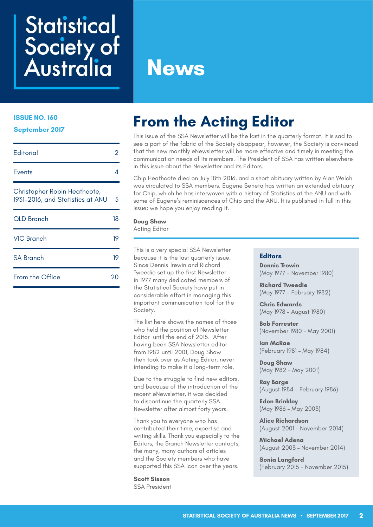# **Statistical** Society of<br>Australia

# **News**

#### **ISSUE NO. 160**

**September 2017**

| <b>Editorial</b>                                                 | 2  |
|------------------------------------------------------------------|----|
| Events                                                           | Δ  |
| Christopher Robin Heathcote,<br>1931-2016, and Statistics at ANU | 5  |
| OLD Branch                                                       | 18 |
| <b>VIC Branch</b>                                                | 19 |
| <b>SA Branch</b>                                                 | 19 |
| From the Office                                                  | 20 |

# **From the Acting Editor**

This issue of the SSA Newsletter will be the last in the quarterly format. It is sad to see a part of the fabric of the Society disappear; however, the Society is convinced that the new monthly eNewsletter will be more effective and timely in meeting the communication needs of its members. The President of SSA has written elsewhere in this issue about the Newsletter and its Editors.

Chip Heathcote died on July 18th 2016, and a short obituary written by Alan Welch was circulated to SSA members. Eugene Seneta has written an extended obituary for Chip, which he has interwoven with a history of Statistics at the ANU and with some of Eugene's reminiscences of Chip and the ANU. It is published in full in this issue; we hope you enjoy reading it.

## **Doug Shaw**

Acting Editor

This is a very special SSA Newsletter because it is the last quarterly issue. Since Dennis Trewin and Richard Tweedie set up the first Newsletter in 1977 many dedicated members of the Statistical Society have put in considerable effort in managing this important communication tool for the Society.

The list here shows the names of those who held the position of Newsletter Editor until the end of 2015. After having been SSA Newsletter editor from 1982 until 2001, Doug Shaw then took over as Acting Editor, never intending to make it a long-term role.

Due to the struggle to find new editors, and because of the introduction of the recent eNewsletter, it was decided to discontinue the quarterly SSA Newsletter after almost forty years.

Thank you to everyone who has contributed their time, expertise and writing skills. Thank you especially to the Editors, the Branch Newsletter contacts, the many, many authors of articles and the Society members who have supported this SSA icon over the years.

**Scott Sisson**  SSA President

#### **Editors**

**Dennis Trewin**  (May 1977 – November 1980)

**Richard Tweedie**  (May 1977 – February 1982)

**Chris Edwards**  (May 1978 – August 1980)

**Bob Forrester**  (November 1980 – May 2001)

**Ian McRae**  (February 1981 – May 1984)

**Doug Shaw**  (May 1982 – May 2001)

**Ray Barge**  (August 1984 – February 1986)

**Eden Brinkley**  (May 1986 – May 2003)

**Alice Richardson**  (August 2001 – November 2014)

**Michael Adena**  (August 2003 – November 2014)

**Sonia Langford**  (February 2015 – November 2015)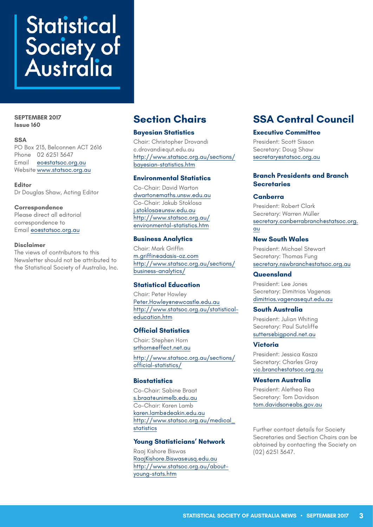# **Statistical** Society of<br>Australia

#### **SEPTEMBER 2017 Issue 160**

## **SSA**

PO Box 213, Belconnen ACT 2616 Phone 02 6251 3647 Email [eo@statsoc.org.au](mailto:eo%40statsoc.org.au?subject=) Website [www.statsoc.org.au](http://www.statsoc.org.au)

**Editor** Dr Douglas Shaw, Acting Editor

#### **Correspondence**

Please direct all editorial correspondence to Email [eo@statsoc.org.au](mailto:eo%40statsoc.org.au?subject=)

#### **Disclaimer**

The views of contributors to this Newsletter should not be attributed to the Statistical Society of Australia, Inc.

## **Bayesian Statistics**

Chair: Christopher Drovandi [c.drovandi@qut.edu.au](mailto:c.drovandi@qut.edu.au) http://www.statsoc.org.au/sections/ bayesian-statistics.htm

## **Environmental Statistics**

Co-Chair: David Warton [dwarton@maths.unsw.edu.au](mailto:dwarton%40maths.unsw.edu.au?subject=) Co-Chair: Jakub Stoklosa [j.stoklosa@unsw.edu.au](mailto:j.stoklosa%40unsw.edu.au?subject=) [http://www.statsoc.org.au/](http://www.statsoc.org.au/environmental-statistics.htm) [environmental-statistics.htm](http://www.statsoc.org.au/environmental-statistics.htm)

## **Business Analytics**

Chair: Mark Griffin [m.griffin@adasis-oz.com](mailto:m.griffin%40adasis-oz.com?subject=) [http://www.statsoc.org.au/sections/](http://www.statsoc.org.au/sections/business-analytics/) [business-analytics/](http://www.statsoc.org.au/sections/business-analytics/)

## **Statistical Education**

Chair: Peter Howley Peter.Howley@newcastle.edu.au http://www.statsoc.org.au/statisticaleducation.htm

## **Official Statistics**

Chair: Stephen Horn [srthorn@effect.net.au](mailto:srthorn%40effect.net.au?subject=) [http://www.statsoc.org.au/sections/](http://www.statsoc.org.au/sections/official-statistics/) [official-statistics/](http://www.statsoc.org.au/sections/official-statistics/)

## **Biostatistics**

Co-Chair: Sabine Braat [s.braat@unimelb.edu.au](mailto:s.braat%40unimelb.edu.au%20?subject=) Co-Chair: Karen Lamb [karen.lamb@deakin.edu.au](mailto:karen.lamb%40deakin.edu.au?subject=) http://www.statsoc.org.au/medical\_ statistics

## **Young Statisticians' Network**

Raaj Kishore Biswas [RaajKishore.Biswas@usq.edu.au](mailto:RaajKishore.Biswas@usq.edu.au) http://www.statsoc.org.au/aboutyoung-stats.htm

## **Section Chairs SSA Central Council**

## **Executive Committee**

President: Scott Sisson Secretary: Doug Shaw [secretary@statsoc.org.au](mailto:secretary%40statsoc.org.au?subject=)

## **Branch Presidents and Branch Secretaries**

## **Canberra**

President: Robert Clark Secretary: Warren Müller [secretary.canberrabranch@statsoc.org.](mailto:secretary.canberrabranch%40statsoc.org.au%0D?subject=) [au](mailto:secretary.canberrabranch%40statsoc.org.au%0D?subject=)

## **New South Wales**

President: Michael Stewart Secretary: Thomas Fung [secretary.nswbranch@statsoc.org.au](mailto:secretary.nswbranch%40statsoc.org.au%20?subject=)

## **Queensland**

President: Lee Jones Secretary: Dimitrios Vagenas [dimitrios.vagenas@qut.edu.au](mailto:dimitrios.vagenas%40qut.edu.au?subject=)

## **South Australia**

President: Julian Whiting Secretary: Paul Sutcliffe sutters@bigpond.net.au

## **Victoria**

President: Jessica Kasza Secretary: Charles Gray [vic.branch@statsoc.org.au](mailto:vicbranch%40statsoc.org.au?subject=)

## **Western Australia**

President: Alethea Rea Secretary: Tom Davidson [tom.davidson@abs.gov.au](mailto:tom.davidson%40abs.gov.au?subject=)

Further contact details for Society Secretaries and Section Chairs can be obtained by contacting the Society on (02) 6251 3647.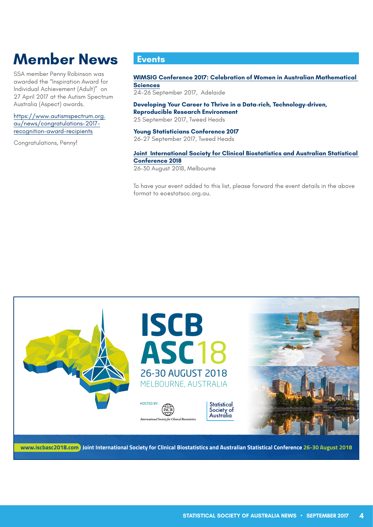# <span id="page-3-0"></span>**Member News**

SSA member Penny Robinson was awarded the "Inspiration Award for Individual Achievement (Adult)" on 27 April 2017 at the Autism Spectrum Australia (Aspect) awards.

[https://www.autismspectrum.org.](https://www.autismspectrum.org.au/news/congratulations-2017-recognition-award-recipients) [au/news/congratulations-2017](https://www.autismspectrum.org.au/news/congratulations-2017-recognition-award-recipients) [recognition-award-recipients](https://www.autismspectrum.org.au/news/congratulations-2017-recognition-award-recipients)

Congratulations, Penny!

## **Events**

**WIMSIG Conference 2017: Celebration of Women in Australian Mathematical Sciences**  24-26 September 2017, Adelaide

**Developing Your Career to Thrive in a Data-rich, Technology-driven, Reproducible Research Environment** 

25 September 2017, Tweed Heads

**Young Statisticians Conference 2017** 26-27 September 2017, Tweed Heads

#### **Joint International Society for Clinical Biostatistics and Australian Statistical Conference 2018**

26-30 August 2018, Melbourne

To have your event added to this list, please forward the event details in the above format to eo@statsoc.org.au.

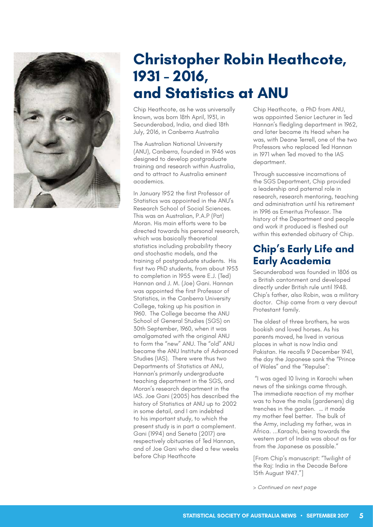<span id="page-4-0"></span>

# **Christopher Robin Heathcote, 1931 - 2016, and Statistics at ANU**

Chip Heathcote, as he was universally known, was born 18th April, 1931, in Secunderabad, India, and died 18th July, 2016, in Canberra Australia

The Australian National University (ANU), Canberra, founded in 1946 was designed to develop postgraduate training and research within Australia, and to attract to Australia eminent academics.

In January 1952 the first Professor of Statistics was appointed in the ANU's Research School of Social Sciences. This was an Australian, P.A.P (Pat) Moran. His main efforts were to be directed towards his personal research, which was basically theoretical statistics including probability theory and stochastic models, and the training of postgraduate students. His first two PhD students, from about 1953 to completion in 1955 were E.J. (Ted) Hannan and J. M. (Joe) Gani. Hannan was appointed the first Professor of Statistics, in the Canberra University College, taking up his position in 1960. The College became the ANU School of General Studies (SGS) on 30th September, 1960, when it was amalgamated with the original ANU to form the "new" ANU. The "old" ANU became the ANU Institute of Advanced Studies (IAS). There were thus two Departments of Statistics at ANU, Hannan's primarily undergraduate teaching department in the SGS, and Moran's research department in the IAS. Joe Gani (2005) has described the history of Statistics at ANU up to 2002 in some detail, and I am indebted to his important study, to which the present study is in part a complement. Gani (1994) and Seneta (2017) are respectively obituaries of Ted Hannan, and of Joe Gani who died a few weeks before Chip Heathcote

Chip Heathcote, a PhD from ANU, was appointed Senior Lecturer in Ted Hannan's fledgling department in 1962, and later became its Head when he was, with Deane Terrell, one of the two Professors who replaced Ted Hannan in 1971 when Ted moved to the IAS department.

Through successive incarnations of the SGS Department, Chip provided a leadership and paternal role in research, research mentoring, teaching and administration until his retirement in 1996 as Emeritus Professor. The history of the Department and people and work it produced is fleshed out within this extended obituary of Chip.

## **Chip's Early Life and Early Academia**

Secunderabad was founded in 1806 as a British cantonment and developed directly under British rule until 1948. Chip's father, also Robin, was a military doctor. Chip came from a very devout Protestant family.

The oldest of three brothers, he was bookish and loved horses. As his parents moved, he lived in various places in what is now India and Pakistan. He recalls 9 December 1941, the day the Japanese sank the "Prince of Wales" and the "Repulse":

 "I was aged 10 living in Karachi when news of the sinkings came through. The immediate reaction of my mother was to have the malis (gardeners) dig trenches in the garden. … it made my mother feel better. The bulk of the Army, including my father, was in Africa. ...Karachi, being towards the western part of India was about as far from the Japanese as possible."

[From Chip's manuscript: "Twilight of the Raj: India in the Decade Before 15th August 1947."]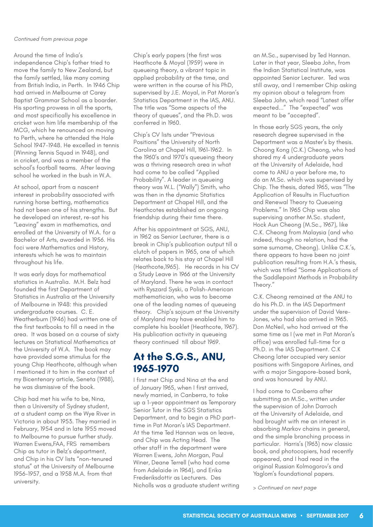Around the time of India's independence Chip's father tried to move the family to New Zealand, but the family settled, like many coming from British India, in Perth. In 1946 Chip had arrived in Melbourne at Carey Baptist Grammar School as a boarder. His sporting prowess in all the sports, and most specifically his excellence in cricket won him life membership of the MCG, which he renounced on moving to Perth, where he attended the Hale School 1947-1948. He excelled in tennis (Winning Tennis Squad in 1948), and in cricket, and was a member of the school's football teams. After leaving school he worked in the bush in W.A.

At school, apart from a nascent interest in probability associated with running horse betting, mathematics had not been one of his strengths. But he developed an interest, re-sat his "Leaving" exam in mathematics, and enrolled at the University of W.A. for a Bachelor of Arts, awarded in 1956. His foci were Mathematics and History, interests which he was to maintain throughout his life.

It was early days for mathematical statistics in Australia. M.H. Belz had founded the first Department of Statistics in Australia at the University of Melbourne in 1948: this provided undergraduate courses. C. E. Weatherburn (1946) had written one of the first textbooks to fill a need in the area. It was based on a course of sixty lectures on Statistical Mathematics at the University of W.A. The book may have provided some stimulus for the young Chip Heathcote, although when I mentioned it to him in the context of my Bicentenary article, Seneta (1988), he was dismissive of the book.

Chip had met his wife to be, Nina, then a University of Sydney student, at a student camp on the Wye River in Victoria in about 1953. They married in February, 1954 and in late 1955 moved to Melbourne to pursue further study. Warren Ewens,FAA, FRS remembers Chip as tutor in Belz's department, and Chip in his CV lists "non-tenured status" at the University of Melbourne 1956-1957, and a 1958 M.A. from that university.

Chip's early papers (the first was Heathcote & Moyal (1959) were in queueing theory, a vibrant topic in applied probability at the time, and were written in the course of his PhD, supervised by J.E. Moyal, in Pat Moran's Statistics Department in the IAS, ANU. The title was "Some aspects of the theory of queues", and the Ph.D. was conferred in 1960.

Chip's CV lists under "Previous Positions" the University of North Carolina at Chapel Hill, 1961-1962. In the 1960's and 1970's queueing theory was a thriving research area in what had come to be called "Applied Probability". A leader in queueing theory was W.L. ("Wally") Smith, who was then in the dynamic Statistics Department at Chapel Hill, and the Heathcotes established an ongoing friendship during their time there.

After his appointment at SGS, ANU, in 1962 as Senior Lecturer, there is a break in Chip's publication output till a clutch of papers in 1965, one of which relates back to his stay at Chapel Hill (Heathcote,1965). He records in his CV a Study Leave in 1966 at the University of Maryland. There he was in contact with Ryszard Syski, a Polish-American mathematician, who was to become one of the leading names of queueing theory. Chip's sojourn at the University of Maryland may have enabled him to complete his booklet (Heathcote, 1967). His publication activity in queueing theory continued till about 1969.

## **At the S.G.S., ANU, 1965-1970**

I first met Chip and Nina at the end of January 1965, when I first arrived, newly married, in Canberra, to take up a 1-year appointment as Temporary Senior Tutor in the SGS Statistics Department, and to begin a PhD parttime in Pat Moran's IAS Department. At the time Ted Hannan was on leave, and Chip was Acting Head. The other staff in the department were Warren Ewens, John Morgan, Paul Winer, Deane Terrell (who had come from Adelaide in 1964), and Erika Frederiksdottir as Lecturers. Des Nicholls was a graduate student writing an M.Sc., supervised by Ted Hannan. Later in that year, Sleeba John, from the Indian Statistical Institute, was appointed Senior Lecturer. Ted was still away, and I remember Chip asking my opinion about a telegram from Sleeba John, which read "Latest offer expected..." The "expected" was meant to be "accepted".

In those early SGS years, the only research degree supervised in the Department was a Master's by thesis. Choong Kong (C.K.) Cheong, who had shared my 4 undergraduate years at the University of Adelaide, had come to ANU a year before me, to do an M.Sc. which was supervised by Chip. The thesis, dated 1965, was "The Application of Results in Fluctuation and Renewal Theory to Queueing Problems." In 1965 Chip was also supervising another M.Sc. student, Hock Aun Cheong (M.Sc., 1967), like C.K. Cheong from Malaysia (and who indeed, though no relation, had the same surname, Cheong). Unlike C.K.'s, there appears to have been no joint publication resulting from H.A.'s thesis, which was titled "Some Applications of the Saddlepoint Methods in Probability Theory."

C.K. Cheong remained at the ANU to do his Ph.D. in the IAS Department under the supervision of David Vere-Jones, who had also arrived in 1965. Don McNeil, who had arrived at the same time as I (we met in Pat Moran's office) was enrolled full-time for a Ph.D. in the IAS Department. C.K Cheong later occupied very senior positions with Singapore Airlines, and with a major Singapore-based bank, and was honoured by ANU.

I had come to Canberra after submitting an M.Sc., written under the supervision of John Darroch at the University of Adelaide, and had brought with me an interest in absorbing Markov chains in general, and the simple branching process in particular. Harris's (1963) now classic book, and photocopiers, had recently appeared, and I had read in the original Russian Kolmogorov's and Yaglom's foundational papers.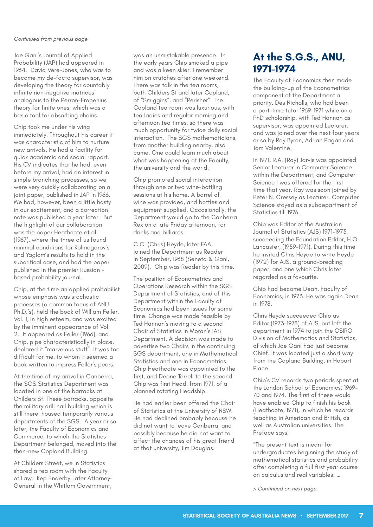Joe Gani's Journal of Applied Probability (JAP) had appeared in 1964. David Vere-Jones, who was to become my de-facto supervisor, was developing the theory for countably infinite non-negative matrices analogous to the Perron-Frobenius theory for finite ones, which was a basic tool for absorbing chains.

Chip took me under his wing immediately. Throughout his career it was characteristic of him to nurture new arrivals. He had a facility for quick academic and social rapport. His CV indicates that he had, even before my arrival, had an interest in simple branching processes, so we were very quickly collaborating on a joint paper, published in JAP in 1966. We had, however, been a little hasty in our excitement, and a correction note was published a year later. But the highlight of our collaboration was the paper Heathcote et al. (1967), where the three of us found minimal conditions for Kolmogorov's and Yaglom's results to hold in the subcritical case, and had the paper published in the premier Russian – based probability journal.

Chip, at the time an applied probabilist whose emphasis was stochastic processes (a common focus of ANU Ph.D.'s), held the book of William Feller, Vol. 1, in high esteem, and was excited by the imminent appearance of Vol. 2. It appeared as Feller (1966), and Chip, pipe characteristically in place, declared it "marvelous stuff". It was too difficult for me, to whom it seemed a book written to impress Feller's peers.

At the time of my arrival in Canberra, the SGS Statistics Department was located in one of the barracks at Childers St. These barracks, opposite the military drill hall building which is still there, housed temporarily various departments of the SGS. A year or so later, the Faculty of Economics and Commerce, to which the Statistics Department belonged, moved into the then-new Copland Building.

At Childers Street, we in Statistics shared a tea room with the Faculty of Law. Kep Enderby, later Attorney-General in the Whitlam Government,

was an unmistakable presence. In the early years Chip smoked a pipe and was a keen skier. I remember him on crutches after one weekend. There was talk in the tea rooms, both Childers St and later Copland, of "Smiggins", and "Perisher". The Copland tea room was luxurious, with tea ladies and regular morning and afternoon tea times, so there was much opportunity for twice daily social interaction. The SGS mathematicians, from another building nearby, also came. One could learn much about what was happening at the Faculty, the university and the world.

Chip promoted social interaction through one or two wine-bottling sessions at his home. A barrel of wine was provided, and bottles and equipment supplied. Occasionally, the Department would go to the Canberra Rex on a late Friday afternoon, for drinks and billiards.

C.C. (Chris) Heyde, later FAA, joined the Department as Reader in September, 1968 (Seneta & Gani, 2009). Chip was Reader by this time.

The position of Econometrics and Operations Research within the SGS Department of Statistics, and of this Department within the Faculty of Economics had been issues for some time. Change was made feasible by Ted Hannan's moving to a second Chair of Statistics in Moran's IAS Department. A decision was made to advertise two Chairs in the continuing SGS department, one in Mathematical Statistics and one in Econometrics. Chip Heathcote was appointed to the first, and Deane Terrell to the second. Chip was first Head, from 1971, of a planned rotating Headship.

He had earlier been offered the Chair of Statistics at the University of NSW. He had declined probably because he did not want to leave Canberra, and possibly because he did not want to affect the chances of his great friend at that university, Jim Douglas.

## **At the S.G.S., ANU, 1971-1974**

The Faculty of Economics then made the building-up of the Econometrics component of the Department a priority. Des Nicholls, who had been a part-time tutor 1969-1971 while on a PhD scholarship, with Ted Hannan as supervisor, was appointed Lecturer, and was joined over the next four years or so by Ray Byron, Adrian Pagan and Tom Valentine.

In 1971, R.A. (Ray) Jarvis was appointed Senior Lecturer in Computer Science within the Department, and Computer Science I was offered for the first time that year. Ray was soon joined by Peter N. Cressey as Lecturer. Computer Science stayed as a subdepartment of Statistics till 1976.

Chip was Editor of the Australian Journal of Statistics (AJS) 1971-1973, succeeding the Foundation Editor, H.O. Lancaster, (1959-1971). During this time he invited Chris Heyde to write Heyde (1972) for AJS, a ground-breaking paper, and one which Chris later regarded as a favourite.

Chip had become Dean, Faculty of Economics, in 1973. He was again Dean in 1978.

Chris Heyde succeeded Chip as Editor (1973-1978) of AJS, but left the department in 1974 to join the CSIRO Division of Mathematics and Statistics, of which Joe Gani had just become Chief. It was located just a short way from the Copland Building, in Hobart Place.

Chip's CV records two periods spent at the London School of Economics: 1969- 70 and 1974. The first of these would have enabled Chip to finish his book (Heathcote, 1971), in which he records teaching in American and British, as well as Australian universities. The Preface says:

"The present text is meant for undergraduates beginning the study of mathematical statistics and probability after completing a full first year course on calculus and real variables. …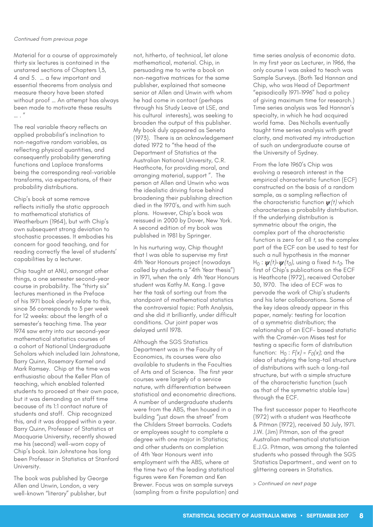Material for a course of approximately thirty six lectures is contained in the unstarred sections of Chapters 1,3, 4 and 5. … a few important and essential theorems from analysis and measure theory have been stated without proof … An attempt has always been made to motivate these results  $\overline{u}$ 

The real variable theory reflects an applied probabilist's inclination to non-negative random variables, as reflecting physical quantities, and consequently probability generating functions and Laplace transforms being the corresponding real-variable transforms, via expectations, of their probability distributions.

Chip's book at some remove reflects initially the static approach to mathematical statistics of Weatherburn (1964), but with Chip's own subsequent strong deviation to stochastic processes. It embodies his concern for good teaching, and for reading correctly the level of students' capabilities by a lecturer.

Chip taught at ANU, amongst other things, a one semester second-year course in probability. The "thirty six" lectures mentioned in the Preface of his 1971 book clearly relate to this, since 36 corresponds to 3 per week for 12 weeks: about the length of a semester's teaching time. The year 1974 saw entry into our second-year mathematical statistics courses of a cohort of National Undergraduate Scholars which included Iain Johnstone, Barry Quinn, Rosemary Karmel and Mark Ramsey. Chip at the time was enthusiastic about the Keller Plan of teaching, which enabled talented students to proceed at their own pace, but it was demanding on staff time because of its 1:1 contact nature of students and staff. Chip recognized this, and it was dropped within a year. Barry Quinn, Professor of Statistics at Macquarie University, recently showed me his (second) well-worn copy of Chip's book. Iain Johnstone has long been Professor in Statistics at Stanford University.

The book was published by George Allen and Unwin, London, a very well-known "literary" publisher, but

not, hitherto, of technical, let alone mathematical, material. Chip, in persuading me to write a book on non-negative matrices for the same publisher, explained that someone senior at Allen and Unwin with whom he had come in contact (perhaps through his Study Leave at LSE, and his cultural interests), was seeking to broaden the output of this publisher. My book duly appeared as Seneta (1973). There is an acknowledgement dated 1972 to "the head of the Department of Statistics at the Australian National University, C.R. Heathcote, for providing moral, and arranging material, support ". The person at Allen and Unwin who was the idealistic driving force behind broadening their publishing direction died in the 1970's, and with him such plans. However, Chip's book was reissued in 2000 by Dover, New York. A second edition of my book was published in 1981 by Springer.

In his nurturing way, Chip thought that I was able to supervise my first 4th Year Honours project (nowadays called by students a "4th Year thesis") in 1971, when the only 4th Year Honours student was Kathy M. Kang. I gave her the task of sorting out from the standpoint of mathematical statistics the controversial topic: Path Analysis, and she did it brilliantly, under difficult conditions. Our joint paper was delayed until 1978.

Although the SGS Statistics Department was in the Faculty of Economics, its courses were also available to students in the Faculties of Arts and of Science. The first year courses were largely of a service nature, with differentiation between statistical and econometric directions. A number of undergraduate students were from the ABS, then housed in a building "just down the street" from the Childers Street barracks. Cadets or employees sought to complete a degree with one major in Statistics; and other students on completion of 4th Year Honours went into employment with the ABS, where at the time two of the leading statistical figures were Ken Foreman and Ken Brewer. Focus was on sample surveys (sampling from a finite population) and time series analysis of economic data. In my first year as Lecturer, in 1966, the only course I was asked to teach was Sample Surveys. (Both Ted Hannan and Chip, who was Head of Department "episodically 1971-1996" had a policy of giving maximum time for research.) Time series analysis was Ted Hannan's specialty, in which he had acquired world fame. Des Nicholls eventually taught time series analysis with great clarity, and motivated my introduction of such an undergraduate course at the University of Sydney.

From the late 1960's Chip was evolving a research interest in the empirical characteristic function (ECF) constructed on the basis of a random sample, as a sampling reflection of the characteristic function  $\psi(t)$  which characterizes a probability distribution. If the underlying distribution is symmetric about the origin, the complex part of the characteristic function is zero for all *t*, so the complex part of the ECF can be used to test for such a null hypothesis in the manner  $H_0$  :  $\psi(t)=\psi(t_0)$ , using a fixed *t*=*t*<sub>0</sub>. The first of Chip's publications on the ECF is Heathcote (1972), received October 30, 1970. The idea of ECF was to pervade the work of Chip's students and his later collaborations. Some of the key ideas already appear in this paper, namely: testing for location of a symmetric distribution; the relationship of an ECF- based statistic with the Cramér-von Mises test for testing a specific form of distribution function:  $H_0$  :  $F(x) = F_0(x)$ ; and the idea of studying the long-tail structure of distributions with such a long-tail structure, but with a simple structure of the characteristic function (such as that of the symmetric stable law) through the ECF.

The first successor paper to Heathcote (1972) with a student was Heathcote & Pitman (1972), received 30 July, 1971. J.W. (Jim) Pitman, son of the great Australian mathematical statistician E.J.G. Pitman, was among the talented students who passed through the SGS Statistics Department., and went on to glittering careers in Statistics.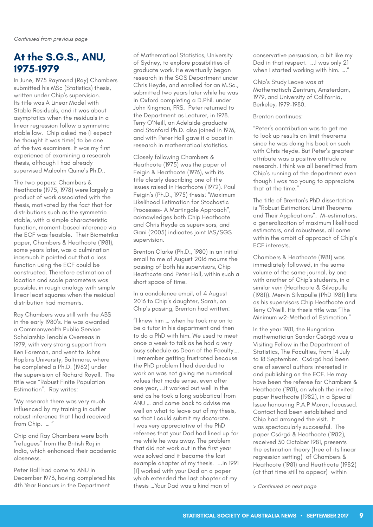## **At the S.G.S., ANU, 1975-1979**

In June, 1975 Raymond (Ray) Chambers submitted his MSc (Statistics) thesis, written under Chip's supervision. Its title was A Linear Model with Stable Residuals, and it was about asymptotics when the residuals in a linear regression follow a symmetric stable law. Chip asked me (I expect he thought it was time) to be one of the two examiners. It was my first experience of examining a research thesis, although I had already supervised Malcolm Quine's Ph.D..

The two papers: Chambers & Heathcote (1975, 1978) were largely a product of work associated with the thesis, motivated by the fact that for distributions such as the symmetric stable, with a simple characteristic function, moment-based inference via the ECF was feasible. Their Biometrika paper, Chambers & Heathcote (1981), some years later, was a culmination inasmuch it pointed out that a loss function using the ECF could be constructed. Therefore estimation of location and scale parameters was possible, in rough analogy with simple linear least squares when the residual distribution had moments.

Ray Chambers was still with the ABS in the early 1980's. He was awarded a Commonwealth Public Service Scholarship Tenable Overseas in 1979, with very strong support from Ken Foreman, and went to Johns Hopkins University, Baltimore, where he completed a Ph.D. (1982) under the supervision of Richard Royall. The title was "Robust Finite Population Estimation". Ray writes:

"My research there was very much influenced by my training in outlier robust inference that I had received from Chip. … "

Chip and Ray Chambers were both "refugees" from the British Raj in India, which enhanced their academic closeness.

Peter Hall had come to ANU in December 1973, having completed his 4th Year Honours in the Department

of Mathematical Statistics, University of Sydney, to explore possibilities of graduate work. He eventually began research in the SGS Department under Chris Heyde, and enrolled for an M.Sc., submitted two years later while he was in Oxford completing a D.Phil. under John Kingman, FRS. Peter returned to the Department as Lecturer, in 1978. Terry O'Neill, an Adelaide graduate and Stanford Ph.D. also joined in 1976, and with Peter Hall gave it a boost in research in mathematical statistics.

Closely following Chambers & Heathcote (1975) was the paper of Feigin & Heathcote (1976), with its title clearly describing one of the issues raised in Heathcote (1972). Paul Feigin's (Ph.D., 1975) thesis: "Maximum Likelihood Estimation for Stochastic Processes- A Martingale Approach", acknowledges both Chip Heathcote and Chris Heyde as supervisors, and Gani (2005) indicates joint IAS/SGS supervision.

Brenton Clarke (Ph.D., 1980) in an initial email to me of August 2016 mourns the passing of both his supervisors, Chip Heathcote and Peter Hall, within such a short space of time.

In a condolence email, of 4 August 2016 to Chip's daughter, Sarah, on Chip's passing, Brenton had written:

"I knew him … when he took me on to be a tutor in his department and then to do a PhD with him. We used to meet once a week to talk as he had a very busy schedule as Dean of the Faculty…. I remember getting frustrated because the PhD problem I had decided to work on was not giving me numerical values that made sense, even after one year, …it worked out well in the end as he took a long sabbatical from ANU … and came back to advise me well on what to leave out of my thesis, so that I could submit my doctorate. I was very appreciative of the PhD referees that your Dad had lined up for me while he was away. The problem that did not work out in the first year was solved and it became the last example chapter of my thesis. ...in 1991 [I] worked with your Dad on a paper which extended the last chapter of my thesis …Your Dad was a kind man of

conservative persuasion, a bit like my Dad in that respect. ...I was only 21 when I started working with him. …."

Chip's Study Leave was at Mathematisch Zentrum, Amsterdam, 1979, and University of California, Berkeley, 1979-1980.

#### Brenton continues:

"Peter's contribution was to get me to look up results on limit theorems since he was doing his book on such with Chris Heyde. But Peter's greatest attribute was a positive attitude re research. I think we all benefitted from Chip's running of the department even though I was too young to appreciate that at the time."

The title of Brenton's PhD dissertation is "Robust Estimation: Limit Theorems and Their Applications". M-estimators, a generalization of maximum likelihood estimators, and robustness, all come within the ambit of approach of Chip's ECF interests.

Chambers & Heathcote (1981) was immediately followed, in the same volume of the same journal, by one with another of Chip's students, in a similar vein (Heathcote & Silvapulle (1981)). Mervin Silvapulle (PhD 1981) lists as his supervisors Chip Heathcote and Terry O'Neill. His thesis title was "The Minimum w2-Method of Estimation."

In the year 1981, the Hungarian mathematician Sandor Csörgö was a Visiting Fellow in the Department of Statistics, The Faculties, from 14 July to 18 September. Csörgö had been one of several authors interested in and publishing on the ECF. He may have been the referee for Chambers & Heathcote (1981), on which the invited paper Heathcote (1982), in a Special Issue honouring P.A.P Moran, focussed. Contact had been established and Chip had arranged the visit. It was spectacularly successful. The paper Csörgö & Heathcote (1982), received 30 October 1981, presents the estimation theory (free of its linear regression setting) of Chambers & Heathcote (1981) and Heathcote (1982) (at that time still to appear) within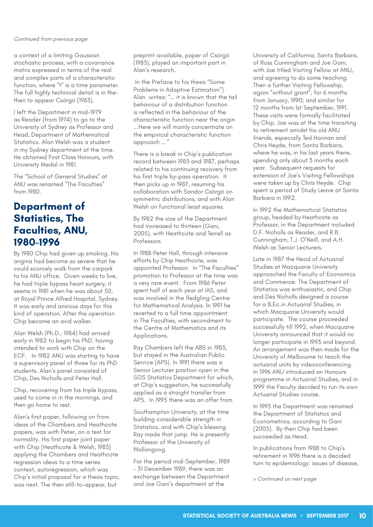a context of a limiting Gaussian stochastic process, with a covariance matrix expressed in terms of the real and complex parts of a characteristic function, where "t" is a time parameter. The full highly technical detail is in thethen to appear Csörgö (1983).

I left the Department in mid-1979 as Reader (from 1974) to go to the University of Sydney as Professor and Head, Department of Mathematical Statistics. Alan Welsh was a student in my Sydney department at the time. He obtained First Class Honours, with University Medal in 1981.

The "School of General Studies" at ANU was renamed "The Faculties" from 1980.

## **Department of Statistics, The Faculties, ANU, 1980-1996**

By 1980 Chip had given up smoking. His angina had become so severe that he could scarcely walk from the carpark to his ANU office. Given weeks to live, he had triple bypass heart surgery, it seems in 1981 when he was about 50, at Royal Prince Alfred Hospital, Sydney. It was early and anxious days for this kind of operation. After the operation Chip became an avid walker.

Alan Welsh (Ph.D., 1984) had arrived early in 1982 to begin his PhD. having intended to work with Chip on the ECF. In 1982 ANU was starting to have a supervisory panel of three for its PhD students. Alan's panel consisted of Chip, Des Nicholls and Peter Hall.

Chip, recovering from his triple bypass, used to come in in the mornings, and then go home to rest.

Alan's first paper, following on from ideas of the Chambers and Heathcote papers, was with Peter, on a test for normality. His first paper joint paper with Chip (Heathcote & Welsh, 1983) applying the Chambers and Heathcote regression ideas to a time series context, autoregression, which was Chip's initial proposal for a thesis topic, was next. The then still-to-appear, but

preprint-available, paper of Csörgö (1983), played an important part in Alan's research.

 In the Preface to his thesis "Some Problems in Adaptive Estimation") Alan writes: "… it is known that the tail behaviour of a distribution function is reflected in the behaviour of the characteristic function near the origin ...Here we will mainly concentrate on the empirical characteristic function approach … "

There is a break in Chip's publication record between 1983 and 1987, perhaps related to his continuing recovery from his first triple by-pass operation. It then picks up in 1987, resuming his collaboration with Sandor Csörgö on symmetric distributions, and with Alan Welsh on functional least squares.

By 1982 the size of the Department had increased to thirteen (Gani, 2005), with Heathcote and Terrell as Professors.

In 1988 Peter Hall, through intensive efforts by Chip Heathcote, was appointed Professor. In "The Faculties" promotion to Professor at the time was a very rare event. From 1986 Peter spent half of each year at IAS, and was involved in the fledgling Centre for Mathematical Analysis. In 1991 he reverted to a full time appointment in The Faculties, with secondment to the Centre of Mathematics and its Applications.

Ray Chambers left the ABS in 1983, but stayed in the Australian Public Service (APS). In 1991 there was a Senior Lecturer position open in the SGS Statistics Department for which, at Chip's suggestion, he successfully applied as a straight transfer from APS. In 1995 there was an offer from

Southampton University, at the time building considerable strength in Statistics, and with Chip's blessing Ray made that jump. He is presently Professor of the University of Wollongong.

For the period mid-September, 1989 – 31 December 1989, there was an exchange between the Department and Joe Gani's department at the

University of California, Santa Barbara, of Ross Cunningham and Joe Gani, with Joe titled Visiting Fellow at ANU, and agreeing to do some teaching. Then a further Visiting Fellowship, again "without grant", for 6 months from January, 1990; and similar for 12 months from 1st September, 1991. These visits were formally facilitated by Chip. Joe was at the time transiting to retirement amidst his old ANU friends, especially Ted Hannan and Chris Heyde, from Santa Barbara, where he was, in his last years there, spending only about 3 months each year. Subsequent requests for extension of Joe's Visiting Fellowships were taken up by Chris Heyde. Chip spent a period of Study Leave at Santa Barbara in 1992.

In 1992 the Mathematical Statistics group, headed by Heathcote as Professor, in the Department included D.F. Nicholls as Reader, and R.B. Cunningham, T.J. O'Neill, and A.H. Welsh as Senior Lecturers.

Late in 1987 the Head of Actuarial Studies at Macquarie University approached the Faculty of Economics and Commerce. The Department of Statistics was enthusiastic, and Chip and Des Nicholls designed a course for a B.Ec.in Actuarial Studies, in which Macquarie University would participate. The course proceeded successfully till 1992, when Macquarie University announced that it would no longer participate in 1993 and beyond. An arrangement was then made for the University of Melbourne to teach the actuarial units by videoconferencing. In 1996 ANU introduced an Honours programme in Actuarial Studies, and in 1999 the Faculty decided to run its own Actuarial Studies course.

In 1995 the Department was renamed the Department of Statistics and Econometrics, according to Gani (2005). By then Chip had been succeeded as Head.

In publications from 1988 to Chip's retirement in 1996 there is a decided turn to epidemiology: issues of disease,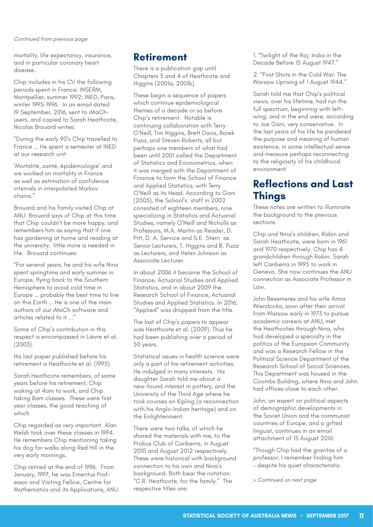mortality, life expectancy, insurance, and in particular coronary heart disease.

Chip includes in his CV the following periods spent in France: INSERM, Montpellier, summer 1992; INED, Paris, winter 1995-1996. In an email dated 19 September, 2016, sent to iMaChusers, and copied to Sarah Heathcote, Nicolas Brouard writes:

"During the early 90's Chip travelled to France … He spent a semester at INED at our research unit

'Mortalité, santé, épidémiologie' and we worked on mortality in France as well as estimation of confidence intervals in interpolated Markov chains."

Brouard and his family visited Chip at ANU. Brouard says of Chip at this time that Chip couldn't be more happy, and remembers him as saying that if one has gardening at home and reading at the university, little more is needed in life. Brouard continues:

"For several years, he and his wife Nina spent springtime and early summer in Europe, flying back to the Southern Hemisphere to avoid cold time in Europe … probably the best time to live on this Earth … He is one of the main authors of our iMaCh software and articles related to it ..."

Some of Chip's contribution in this respect is encompassed in Lièvre et al. (2003).

His last paper published before his retirement is Heathcote et al. (1995).

Sarah Heathcote remembers, of some years before his retirement, Chip waking at 4am to work, and Chip taking 8am classes. These were first year classes, the good teaching of which

Chip regarded as very important. Alan Welsh took over these classes in 1994. He remembers Chip mentioning taking his dog for walks along Red Hill in the very early mornings.

Chip retired at the end of 1996. From January, 1997, he was Emeritus Professor and Visiting Fellow, Centre for Mathematics and its Applications, ANU.

## **Retirement**

There is a publication gap until Chapters 3 and 4 of Heathcote and Higgins (2001a, 2001b).

These begin a sequence of papers which continue epidemiological themes of a decade or so before Chip's retirement. Notable is continuing collaboration with Terry O'Neill, Tim Higgins, Brett Davis, Borek Puza, and Steven Roberts, all but perhaps one members of what had been until 2001 called the Department of Statistics and Econometrics, when it was merged with the Department of Finance to form the School of Finance and Applied Statistics, with Terry O'Neill as its Head. According to Gani (2005), the School's staff in 2002 consisted of eighteen members, nine specializing in Statistics and Actuarial Studies, namely O'Neill and Nicholls as Professors, M.A. Martin as Reader, D. Pitt, D. A. Service and S.E. Stern as Senior Lecturers, T. Higgins and B. Puza as Lecturers, and Helen Johnson as Associate Lecturer.

In about 2006 it became the School of Finance, Actuarial Studies and Applied Statistics, and in about 2009 the Research School of Finance, Actuarial Studies and Applied Statistics. In 2016, "Applied" was dropped from the title.

The last of Chip's papers to appear was Heathcote et al. (2009). Thus he had been publishing over a period of 50 years.

Statistical issues in health science were only a part of his retirement activities. He indulged in many interests. His daughter Sarah told me about a new-found interest in pottery, and the University of the Third Age where he took courses on Kipling (a reconnection with his Anglo-Indian heritage) and on the Enlightenment.

There were two talks, of which he shared the materials with me, to the Probus Club of Canberra, in August 2010 and August 2012 respectively. These were historical with background connection to his own and Nina's background. Both bear the notation: "C.R. Heathcote, for the family." The respective titles are:

1. "Twilight of the Raj: India in the Decade Before 15 August 1947."

2. "First Shots in the Cold War: The Warsaw Uprising of 1 August 1944."

Sarah told me that Chip's political views, over his lifetime, had run the full spectrum, beginning with leftwing; and in the end were, according to Joe Gani, very conservative. In the last years of his life he pondered the purpose and meaning of human existence, in some intellectual sense and measure perhaps reconnecting to the religiosity of his childhood environment.

## **Reflections and Last Things**

These notes are written to illuminate the background to the previous sections.

Chip and Nina's children, Robin and Sarah Heathcote, were born in 1961 and 1970 respectively. Chip has 4 grandchildren through Robin. Sarah left Canberra in 1995 to work in Geneva. She now continues the ANU connection as Associate Professor in  $\overline{L}$ 

John Besemeres and his wife Anna Wierzbicka, soon after their arrival from Warsaw early in 1973 to pursue academic careers at ANU, met the Heathcotes through Nina, who had developed a specialty in the politics of the European Community. and was a Research Fellow in the Political Science Department of the Research School of Social Sciences. This Department was housed in the Coombs Building, where Nina and John had offices close to each other.

John, an expert on political aspects of demographic developments in the Soviet Union and the communist countries of Europe, and a gifted linguist, continues in an email attachment of 15 August 2016:

"Though Chip had the gravitas of a professor, I remember finding him – despite his quiet characteristic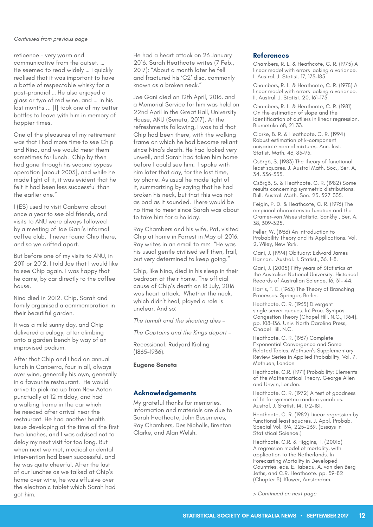reticence – very warm and communicative from the outset. … He seemed to read widely … I quickly realised that it was important to have a bottle of respectable whisky for a post-prandial … He also enjoyed a glass or two of red wine, and … in his last months ... [I] took one of my better bottles to leave with him in memory of happier times.

One of the pleasures of my retirement was that I had more time to see Chip and Nina, and we would meet them sometimes for lunch. Chip by then had gone through his second bypass operation [about 2003], and while he made light of it, it was evident that he felt it had been less successful than the earlier one."

I (ES) used to visit Canberra about once a year to see old friends, and visits to ANU were always followed by a meeting of Joe Gani's informal coffee club. I never found Chip there, and so we drifted apart.

But before one of my visits to ANU, in 2011 or 2012, I told Joe that I would like to see Chip again. I was happy that he came, by car directly to the coffee house.

Nina died in 2012. Chip, Sarah and family organised a commemoration in their beautiful garden.

It was a mild sunny day, and Chip delivered a eulogy, after climbing onto a garden bench by way of an improvised podium.

After that Chip and I had an annual lunch in Canberra, four in all, always over wine, generally his own, generally in a favourite restaurant. He would arrive to pick me up from New Acton punctually at 12 midday, and had a walking frame in the car which he needed after arrival near the restaurant. He had another health issue developing at the time of the first two lunches, and I was advised not to delay my next visit for too long. But when next we met, medical or dental intervention had been successful, and he was quite cheerful. After the last of our lunches as we talked at Chip's home over wine, he was effusive over the electronic tablet which Sarah had got him.

He had a heart attack on 26 January 2016. Sarah Heathcote writes (7 Feb., 2017): "About a month later he fell and fractured his 'C2' disc, commonly known as a broken neck."

Joe Gani died on 12th April, 2016, and a Memorial Service for him was held on 22nd April in the Great Hall, University House, ANU (Seneta, 2017). At the refreshments following, I was told that Chip had been there, with the walking frame on which he had become reliant since Nina's death. He had looked very unwell, and Sarah had taken him home before I could see him. I spoke with him later that day, for the last time, by phone. As usual he made light of it, summarizing by saying that he had broken his neck, but that this was not as bad as it sounded. There would be no time to meet since Sarah was about to take him for a holiday.

Ray Chambers and his wife, Pat, visited Chip at home in Forrest in May of 2016. Ray writes in an email to me: "He was his usual gentle civilised self then, frail, but very determined to keep going."

Chip, like Nina, died in his sleep in their bedroom at their home. The official cause of Chip's death on 18 July, 2016 was heart attack. Whether the neck, which didn't heal, played a role is unclear. And so:

*The tumult and the shouting dies –*

*The Captains and the Kings depart –*

Recessional. Rudyard Kipling (1865-1936).

**Eugene Seneta**

## **Acknowledgements**

My grateful thanks for memories, information and materials are due to Sarah Heathcote, John Besemeres, Ray Chambers, Des Nicholls, Brenton Clarke, and Alan Welsh.

#### **References**

Chambers, R. L. & Heathcote, C. R. (1975) A linear model with errors lacking a variance. I. Austral. J. Statist. 17, 173–185.

Chambers, R. L. & Heathcote, C. R. (1978) A linear model with errors lacking a variance. II. Austral. J. Statist. 20, 161–175.

Chambers, R. L. & Heathcote, C. R. (1981) On the estimation of slope and the identification of outliers in linear regression. Biometrika 68, 21–33.

Clarke, B. R. & Heathcote, C. R. (1994) Robust estimation of k-component univariate normal mixtures. Ann. Inst. Statist. Math. 46, 83–93.

Csörgö, S. (1983) The theory of functional least squares. J. Austral Math. Soc., Ser. A, 34, 336-355.

Csörgö, S. & Heathcote, C. R. (1982) Some results concerning symmetric distributions. Bull. Austral. Math. Soc. 25, 327–335.

Feigin, P. D. & Heathcote, C. R. (1976) The empirical characteristic function and the Cramér-von Mises statistic. Sankhy, Ser. A. 38, 309–325.

Feller, W. (1966) An Introduction to Probability Theory and Its Applications. Vol. 2, Wiley, New York.

Gani, J. (1994) Obituary: Edward James Hannan. Austral. J. Statist., 36. 1-8.

Gani, J. (2005) Fifty years of Statistics at the Australian National University. Historical Records of Australian Science. 16, 31- 44.

Harris, T. E. (1963) The Theory of Branching Processes. Springer, Berlin.

Heathcote, C. R. (1965) Divergent single server queues. In: Proc. Sympos. Congestion Theory (Chapel Hill, N.C., 1964). pp. 108–136. Univ. North Carolina Press, Chapel Hill, N.C.

Heathcote, C. R. (1967) Complete Exponential Convergence and Some Related Topics. Methuen's Supplementary Review Series in Applied Probability, Vol. 7. Methuen, London

Heathcote, C.R. (1971) Probability: Elements of the Mathematical Theory. George Allen and Unwin, London.

Heathcote, C. R. (1972) A test of goodness of fit for symmetric random variables. Austral. J. Statist. 14, 172–181.

Heathcote, C. R. (1982) Linear regression by functional least squares. J. Appl. Probab. Special Vol. 19A, 225–239. (Essays in Statistical Science.)

Heathcote, C.R. & Higgins, T. (2001a) A regression model of mortality, with application to the Netherlands. In Forecasting Mortality in Developed Countries. eds. E. Tabeau, A. van den Berg Jeths, and C.R. Heathcote. pp. 59-82 (Chapter 3). Kluwer, Amsterdam.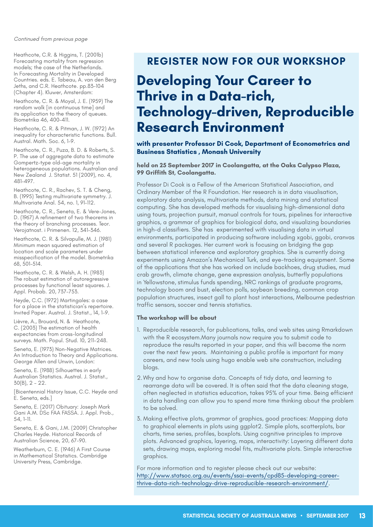Heathcote, C.R. & Higgins, T. (2001b) Forecasting mortality from regression models; the case of the Netherlands. In Forecasting Mortality in Developed Countries. eds. E. Tabeau, A. van den Berg Jeths, and C.R. Heathcote. pp.83-104 (Chapter 4). Kluwer, Amsterdam:

Heathcote, C. R. & Moyal, J. E. (1959) The random walk [in continuous time] and its application to the theory of queues. Biometrika 46, 400–411.

Heathcote, C. R. & Pitman, J. W. (1972) An inequality for characteristic functions. Bull. Austral. Math. Soc. 6, 1–9.

Heathcote, C. R., Puza, B. D. & Roberts, S. P. The use of aggregate data to estimate Gompertz-type old-age mortality in heterogeneous populations. Australian and New Zealand J. Statist. 51 (2009), no. 4, 481–497.

Heathcote, C. R., Rachev, S. T. & Cheng, B. (1995) Testing multivariate symmetry. J. Multivariate Anal. 54, no. 1, 91–112.

Heathcote, C. R., Seneta, E. & Vere-Jones, D. (1967) A refinement of two theorems in the theory of branching processes. Teor. Verojatnost. i Primenen. 12, 341–346.

Heathcote, C. R. & Silvapulle, M. J. (1981) Minimum mean squared estimation of location and scale parameters under misspecification of the model. Biometrika 68, 501–514.

Heathcote, C. R. & Welsh, A. H. (1983) The robust estimation of autoregressive processes by functional least squares. J. Appl. Probab. 20, 737–753.

Heyde, C.C. (1972) Martingales: a case for a place in the statistician's repertoire. Invited Paper. Austral. J. Statist., 14, 1-9.

Lièvre, A., Brouard, N. & Heathcote, C. (2003) The estimation of health expectancies from cross-longitudinal surveys. Math. Popul. Stud. 10, 211–248.

Seneta, E. (1973) Non-Negative Matrices. An Introduction to Theory and Applications. George Allen and Unwin, London:

Seneta, E. (1988) Silhouettes in early Australian Statistics. Austral. J. Statist., 30(B), 2 – 22.

[Bicentennial History Issue, C.C. Heyde and E. Seneta, eds.]

Seneta, E. (2017) Obituary: Joseph Mark Gani A.M. DSc FAA FASSA. J. Appl. Prob., 54, 1-11.

Seneta, E. & Gani, J.M. (2009) Christopher Charles Heyde. Historical Records of Australian Science, 20, 67-90.

Weatherburn, C. E. (1946) A First Course in Mathematical Statistics. Cambridge University Press, Cambridge.

## **REGISTER NOW FOR OUR WORKSHOP**

## **Developing Your Career to Thrive in a Data-rich, Technology-driven, Reproducible Research Environment**

**with presenter Professor Di Cook, Department of Econometrics and Business Statistics , Monash University**

#### **held on 25 September 2017 in Coolangatta, at the Oaks Calypso Plaza, 99 Griffith St, Coolangatta.**

Professor Di Cook is a Fellow of the American Statistical Association, and Ordinary Member of the R Foundation. Her research is in data visualisation, exploratory data analysis, multivariate methods, data mining and statistical computing. She has developed methods for visualising high-dimensional data using tours, projection pursuit, manual controls for tours, pipelines for interactive graphics, a grammar of graphics for biological data, and visualizing boundaries in high-d classifiers. She has experimented with visualising data in virtual environments, participated in producing software including xgobi, ggobi, cranvas and several R packages. Her current work is focusing on bridging the gap between statistical inference and exploratory graphics. She is currently doing experiments using Amazon's Mechanical Turk, and eye-tracking equipment. Some of the applications that she has worked on include backhoes, drug studies, mud crab growth, climate change, gene expression analysis, butterfly populations in Yellowstone, stimulus funds spending, NRC rankings of graduate programs, technology boom and bust, election polls, soybean breeding, common crop population structures, insect gall to plant host interactions, Melbourne pedestrian traffic sensors, soccer and tennis statistics.

#### **The workshop will be about**

- 1. Reproducible research, for publications, talks, and web sites using Rmarkdown with the R ecosystem.Many journals now require you to submit code to reproduce the results reported in your paper, and this will become the norm over the next few years. Maintaining a public profile is important for many careers, and new tools using hugo enable web site construction, including blogs.
- 2. Why and how to organise data. Concepts of tidy data, and learning to rearrange data will be covered. It is often said that the data cleaning stage, often neglected in statistics education, takes 95% of your time. Being efficient in data handling can allow you to spend more time thinking about the problem to be solved.
- 3. Making effective plots, grammar of graphics, good practices: Mapping data to graphical elements in plots using ggplot2. Simple plots, scatterplots, bar charts, time series, profiles, boxplots. Using cognitive principles to improve plots. Advanced graphics, layering, maps, interactivity: Layering different data sets, drawing maps, exploring model fits, multivariate plots. Simple interactive graphics.

For more information and to register please check out our website: [http://www.statsoc.org.au/events/ssai-events/cpd85-developing-career](http://www.statsoc.org.au/events/ssai-events/cpd85-developing-career-thrive-data-rich-technology-dri)[thrive-data-rich-technology-drive-reproducible-research-environment/](http://www.statsoc.org.au/events/ssai-events/cpd85-developing-career-thrive-data-rich-technology-dri).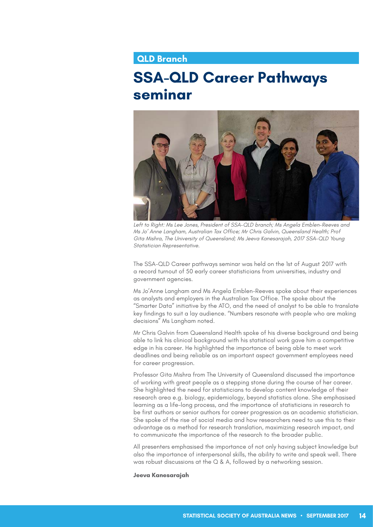## **QLD Branch**

## **SSA-QLD Career Pathways seminar**



Left to Right: Ms Lee Jones, President of SSA-QLD branch; Ms Angela Emblen-Reeves and *Ms Jo' Anne Langham, Australian Tax Office; Mr Chris Galvin, Queensland Health; Prof Gita Mishra, The University of Queensland; Ms Jeeva Kanesarajah, 2017 SSA-QLD Young Statistician Representative.* 

The SSA-QLD Career pathways seminar was held on the 1st of August 2017 with a record turnout of 50 early career statisticians from universities, industry and government agencies.

Ms Jo'Anne Langham and Ms Angela Emblen-Reeves spoke about their experiences as analysts and employers in the Australian Tax Office. The spoke about the "Smarter Data" initiative by the ATO, and the need of analyst to be able to translate key findings to suit a lay audience. "Numbers resonate with people who are making decisions" Ms Langham noted.

Mr Chris Galvin from Queensland Health spoke of his diverse background and being able to link his clinical background with his statistical work gave him a competitive edge in his career. He highlighted the importance of being able to meet work deadlines and being reliable as an important aspect government employees need for career progression.

Professor Gita Mishra from The University of Queensland discussed the importance of working with great people as a stepping stone during the course of her career. She highlighted the need for statisticians to develop content knowledge of their research area e.g. biology, epidemiology, beyond statistics alone. She emphasised learning as a life-long process, and the importance of statisticians in research to be first authors or senior authors for career progression as an academic statistician. She spoke of the rise of social media and how researchers need to use this to their advantage as a method for research translation, maximizing research impact, and to communicate the importance of the research to the broader public.

All presenters emphasised the importance of not only having subject knowledge but also the importance of interpersonal skills, the ability to write and speak well. There was robust discussions at the Q & A, followed by a networking session.

**Jeeva Kanesarajah**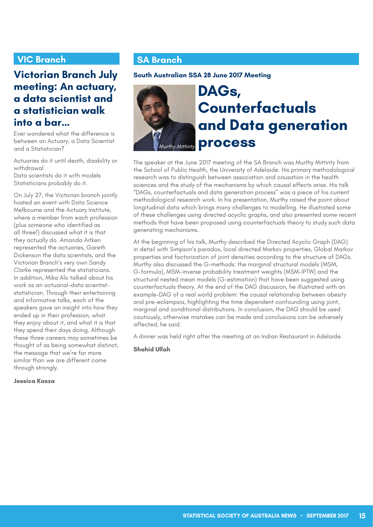## **VIC Branch**

## **Victorian Branch July meeting: An actuary, a data scientist and a statistician walk into a bar…**

Ever wondered what the difference is between an Actuary, a Data Scientist and a Statistician?

Actuaries do it until death, disability or withdrawal

Data scientists do it with models Statisticians probably do it.

On July 27, the Victorian branch jointly hosted an event with Data Science Melbourne and the Actuary Institute, where a member from each profession (plus someone who identified as all three!) discussed what it is that they actually do. Amanda Aitken represented the actuaries, Gareth Dickenson the data scientists, and the Victorian Branch's very own Sandy Clarke represented the statisticians. In addition, Mika Alo talked about his work as an actuarial-data scientiststatistician. Through their entertaining and informative talks, each of the speakers gave an insight into how they ended up in their profession, what they enjoy about it, and what it is that they spend their days doing. Although these three careers may sometimes be thought of as being somewhat distinct, the message that we're far more similar than we are different came through strongly.

**Jessica Kasza**

## **SA Branch**

## **South Australian SSA 28 June 2017 Meeting**



# **DAGs, Counterfactuals and Data generation process** *Murthy Mittinty*

The speaker at the June 2017 meeting of the SA Branch was Murthy Mittinty from the School of Public Health, the University of Adelaide. His primary methodological research was to distinguish between association and causation in the health sciences and the study of the mechanisms by which causal effects arise. His talk "DAGs, counterfactuals and data generation process" was a piece of his current methodological research work. In his presentation, Murthy raised the point about longitudinal data which brings many challenges to modelling. He illustrated some of these challenges using directed acyclic graphs, and also presented some recent methods that have been proposed using counterfactuals theory to study such data generating mechanisms.

At the beginning of his talk, Murthy described the Directed Acyclic Graph (DAG) in detail with Simpson's paradox, local directed Markov properties, Global Markov properties and factorization of joint densities according to the structure of DAGs. Murthy also discussed the G-methods: the marginal structural models (MSM, G-formula), MSM-inverse probability treatment weights (MSM-IPTW) and the structural nested mean models (G-estimation) that have been suggested using counterfactuals theory. At the end of the DAG discussion, he illustrated with an example-DAG of a real world problem: the causal relationship between obesity and pre-eclampsia, highlighting the time dependent confounding using joint, marginal and conditional distributions. In conclusion, the DAG should be used cautiously, otherwise mistakes can be made and conclusions can be adversely affected, he said.

A dinner was held right after the meeting at an Indian Restaurant in Adelaide.

## **Shahid Ullah**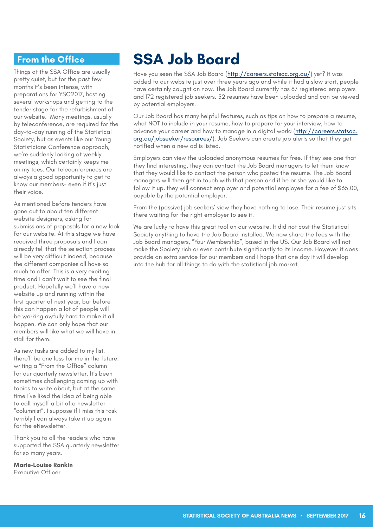## **From the Office**

Things at the SSA Office are usually pretty quiet, but for the past few months it's been intense, with preparations for YSC2017, hosting several workshops and getting to the tender stage for the refurbishment of our website. Many meetings, usually by teleconference, are required for the day-to-day running of the Statistical Society, but as events like our Young Statisticians Conference approach, we're suddenly looking at weekly meetings, which certainly keeps me on my toes. Our teleconferences are always a good opportunity to get to know our members- even if it's just their voice.

As mentioned before tenders have gone out to about ten different website designers, asking for submissions of proposals for a new look for our website. At this stage we have received three proposals and I can already tell that the selection process will be very difficult indeed, because the different companies all have so much to offer. This is a very exciting time and I can't wait to see the final product. Hopefully we'll have a new website up and running within the first quarter of next year, but before this can happen a lot of people will be working awfully hard to make it all happen. We can only hope that our members will like what we will have in stall for them.

As new tasks are added to my list, there'll be one less for me in the future: writing a "From the Office" column for our quarterly newsletter. It's been sometimes challenging coming up with topics to write about, but at the same time I've liked the idea of being able to call myself a bit of a newsletter "columnist". I suppose if I miss this task terribly I can always take it up again for the eNewsletter.

Thank you to all the readers who have supported the SSA quarterly newsletter for so many years.

**Marie-Louise Rankin**  Executive Officer

# **SSA Job Board**

Have you seen the SSA Job Board [\(http://careers.statsoc.org.au/](http://careers.statsoc.org.au/)) yet? It was added to our website just over three years ago and while it had a slow start, people have certainly caught on now. The Job Board currently has 87 registered employers and 172 registered job seekers. 52 resumes have been uploaded and can be viewed by potential employers.

Our Job Board has many helpful features, such as tips on how to prepare a resume, what NOT to include in your resume, how to prepare for your interview, how to advance your career and how to manage in a digital world [\(http://careers.statsoc.](http://careers.statsoc.org.au/jobseeker/resources/) [org.au/jobseeker/resources/](http://careers.statsoc.org.au/jobseeker/resources/)). Job Seekers can create job alerts so that they get notified when a new ad is listed.

Employers can view the uploaded anonymous resumes for free. If they see one that they find interesting, they can contact the Job Board managers to let them know that they would like to contact the person who posted the resume. The Job Board managers will then get in touch with that person and if he or she would like to follow it up, they will connect employer and potential employee for a fee of \$35.00, payable by the potential employer.

From the (passive) job seekers' view they have nothing to lose. Their resume just sits there waiting for the right employer to see it.

We are lucky to have this great tool on our website. It did not cost the Statistical Society anything to have the Job Board installed. We now share the fees with the Job Board managers, "Your Membership", based in the US. Our Job Board will not make the Society rich or even contribute significantly to its income. However it does provide an extra service for our members and I hope that one day it will develop into the hub for all things to do with the statistical job market.